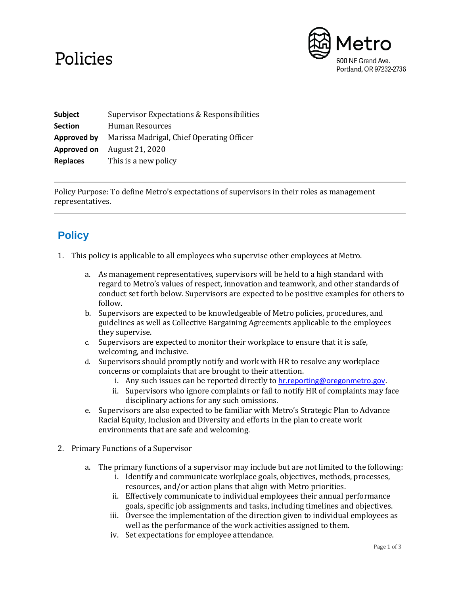## Policies



**Subject** Supervisor Expectations & Responsibilities **Section** Human Resources **Approved by** Marissa Madrigal, Chief Operating Officer **Approved on** August 21, 2020 **Replaces** This is a new policy

Policy Purpose: To define Metro's expectations of supervisors in their roles as management representatives.

## **Policy**

- 1. This policy is applicable to all employees who supervise other employees at Metro.
	- a. As management representatives, supervisors will be held to a high standard with regard to Metro's values of respect, innovation and teamwork, and other standards of conduct set forth below. Supervisors are expected to be positive examples for others to follow.
	- b. Supervisors are expected to be knowledgeable of Metro policies, procedures, and guidelines as well as Collective Bargaining Agreements applicable to the employees they supervise.
	- c. Supervisors are expected to monitor their workplace to ensure that it is safe, welcoming, and inclusive.
	- d. Supervisors should promptly notify and work with HR to resolve any workplace concerns or complaints that are brought to their attention.
		- i. Any such issues can be reported directly to [hr.reporting@oregonmetro.gov.](mailto:hr.reporting@oregonmetro.gov)
		- ii. Supervisors who ignore complaints or fail to notify HR of complaints may face disciplinary actions for any such omissions.
	- e. Supervisors are also expected to be familiar with Metro's Strategic Plan to Advance Racial Equity, Inclusion and Diversity and efforts in the plan to create work environments that are safe and welcoming.
- 2. Primary Functions of a Supervisor
	- a. The primary functions of a supervisor may include but are not limited to the following:
		- i. Identify and communicate workplace goals, objectives, methods, processes, resources, and/or action plans that align with Metro priorities.
		- ii. Effectively communicate to individual employees their annual performance goals, specific job assignments and tasks, including timelines and objectives.
		- iii. Oversee the implementation of the direction given to individual employees as well as the performance of the work activities assigned to them.
		- iv. Set expectations for employee attendance.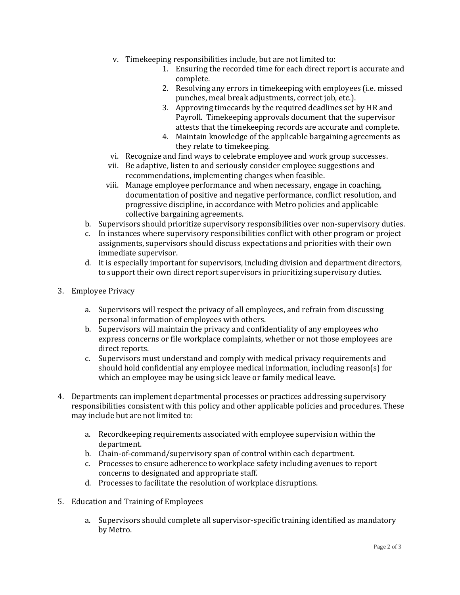- v. Timekeeping responsibilities include, but are not limited to:
	- 1. Ensuring the recorded time for each direct report is accurate and complete.
	- 2. Resolving any errors in timekeeping with employees (i.e. missed punches, meal break adjustments, correct job, etc.).
	- 3. Approving timecards by the required deadlines set by HR and Payroll. Timekeeping approvals document that the supervisor attests that the timekeeping records are accurate and complete.
	- 4. Maintain knowledge of the applicable bargaining agreements as they relate to timekeeping.
- vi. Recognize and find ways to celebrate employee and work group successes.
- vii. Be adaptive, listen to and seriously consider employee suggestions and recommendations, implementing changes when feasible.
- viii. Manage employee performance and when necessary, engage in coaching, documentation of positive and negative performance, conflict resolution, and progressive discipline, in accordance with Metro policies and applicable collective bargaining agreements.
- b. Supervisors should prioritize supervisory responsibilities over non-supervisory duties.
- c. In instances where supervisory responsibilities conflict with other program or project assignments, supervisors should discuss expectations and priorities with their own immediate supervisor.
- d. It is especially important for supervisors, including division and department directors, to support their own direct report supervisors in prioritizing supervisory duties.
- 3. Employee Privacy
	- a. Supervisors will respect the privacy of all employees, and refrain from discussing personal information of employees with others.
	- b. Supervisors will maintain the privacy and confidentiality of any employees who express concerns or file workplace complaints, whether or not those employees are direct reports.
	- c. Supervisors must understand and comply with medical privacy requirements and should hold confidential any employee medical information, including reason(s) for which an employee may be using sick leave or family medical leave.
- 4. Departments can implement departmental processes or practices addressing supervisory responsibilities consistent with this policy and other applicable policies and procedures. These may include but are not limited to:
	- a. Recordkeeping requirements associated with employee supervision within the department.
	- b. Chain-of-command/supervisory span of control within each department.
	- c. Processes to ensure adherence to workplace safety including avenues to report concerns to designated and appropriate staff.
	- d. Processes to facilitate the resolution of workplace disruptions.
- 5. Education and Training of Employees
	- a. Supervisors should complete all supervisor-specific training identified as mandatory by Metro.